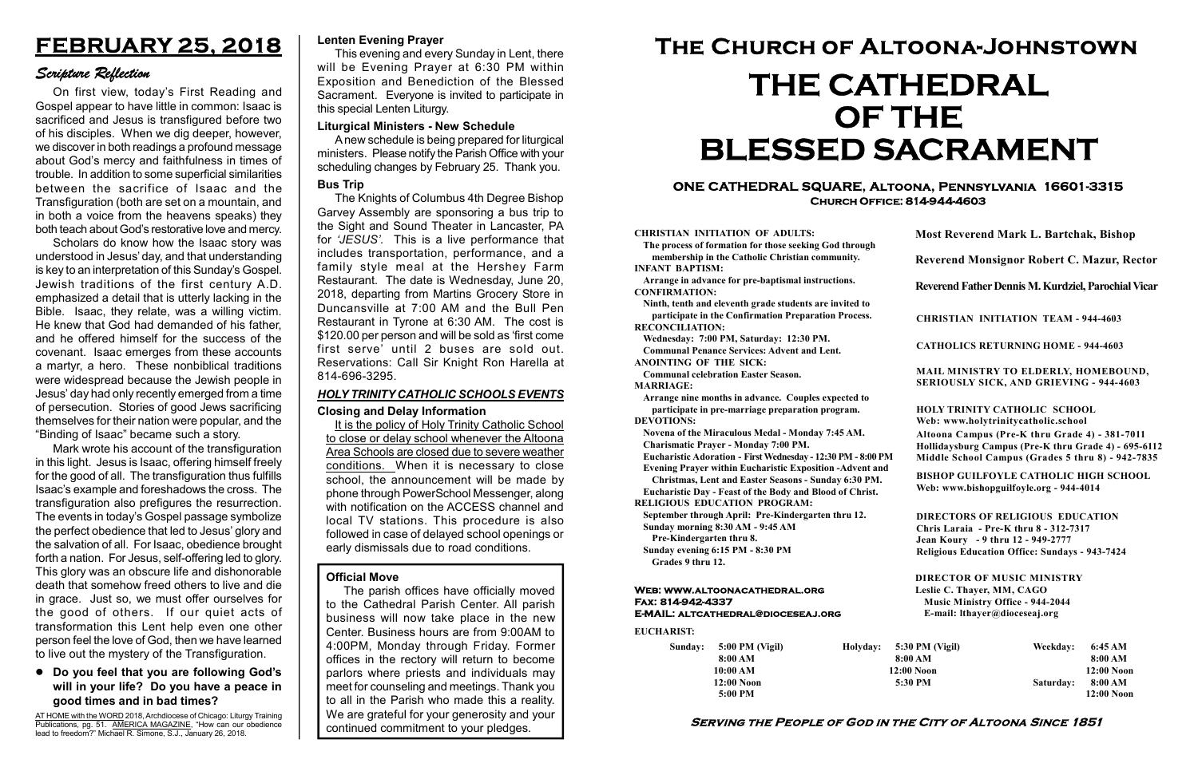#### Serving the People of God in the City of Altoona Since 1851

Sunday: 5:00 PM (Vigil) 8:00 AM 10:00 AM 12:00 Noon 5:00 PM

Holyday:

#### Web: www.altoonacathedral.org Fax: 814-942-4337 E-MAIL: altcathedral@dioceseaj.org

EUCHARIST:

#### CHRISTIAN INITIATION OF ADULTS:

The process of formation for those seeking God through membership in the Catholic Christian community. INFANT BAPTISM:

Arrange in advance for pre-baptismal instructions. CONFIRMATION:

Ninth, tenth and eleventh grade students are invited to participate in the Confirmation Preparation Process. RECONCILIATION:

Wednesday: 7:00 PM, Saturday: 12:30 PM. Communal Penance Services: Advent and Lent.

ANOINTING OF THE SICK:

Communal celebration Easter Season. MARRIAGE:

Arrange nine months in advance. Couples expected to participate in pre-marriage preparation program. DEVOTIONS:

Novena of the Miraculous Medal - Monday 7:45 AM.

Charismatic Prayer - Monday 7:00 PM. Eucharistic Adoration - First Wednesday - 12:30 PM - 8:00 PM

Evening Prayer within Eucharistic Exposition -Advent and

Christmas, Lent and Easter Seasons - Sunday 6:30 PM.

|                       | <b>Most Reverend Mark L. Bartchak, Bishop</b><br>Reverend Monsignor Robert C. Mazur, Rector                                                                                     |           |                         |
|-----------------------|---------------------------------------------------------------------------------------------------------------------------------------------------------------------------------|-----------|-------------------------|
|                       |                                                                                                                                                                                 |           |                         |
|                       | Reverend Father Dennis M. Kurdziel, Parochial Vicar                                                                                                                             |           |                         |
|                       | <b>CHRISTIAN INITIATION TEAM - 944-4603</b>                                                                                                                                     |           |                         |
|                       | <b>CATHOLICS RETURNING HOME - 944-4603</b>                                                                                                                                      |           |                         |
|                       | MAIL MINISTRY TO ELDERLY, HOMEBOUND,<br>SERIOUSLY SICK, AND GRIEVING - 944-4603                                                                                                 |           |                         |
|                       | <b>HOLY TRINITY CATHOLIC SCHOOL</b><br>Web: www.holytrinitycatholic.school                                                                                                      |           |                         |
| М                     | Altoona Campus (Pre-K thru Grade 4) - 381-7011<br>Hollidaysburg Campus (Pre-K thru Grade 4) - 695-6112<br>Middle School Campus (Grades 5 thru 8) - 942-7835                     |           |                         |
| ł                     | <b>BISHOP GUILFOYLE CATHOLIC HIGH SCHOOL</b><br>Web: www.bishopguilfoyle.org - 944-4014                                                                                         |           |                         |
|                       | <b>DIRECTORS OF RELIGIOUS EDUCATION</b><br>Chris Laraia - Pre-K thru 8 - 312-7317<br>Jean Koury - 9 thru 12 - 949-2777<br><b>Religious Education Office: Sundays - 943-7424</b> |           |                         |
|                       | <b>DIRECTOR OF MUSIC MINISTRY</b><br>Leslie C. Thayer, MM, CAGO<br><b>Music Ministry Office - 944-2044</b><br>E-mail: lthayer@dioceseaj.org                                     |           |                         |
| 5:30 PM (Vigil)       |                                                                                                                                                                                 | Weekday:  | 6:45 AM                 |
| 8:00 AM<br>12:00 Noon |                                                                                                                                                                                 |           | 8:00 AM<br>12:00 Noon   |
| 5:30 PM               |                                                                                                                                                                                 | Saturday: | 8:00 AM<br>$12:00$ Noon |
|                       |                                                                                                                                                                                 |           |                         |

Eucharistic Day - Feast of the Body and Blood of Christ. RELIGIOUS EDUCATION PROGRAM:

September through April: Pre-Kindergarten thru 12. Sunday morning 8:30 AM - 9:45 AM

Pre-Kindergarten thru 8.

Sunday evening 6:15 PM - 8:30 PM Grades 9 thru 12.

AT HOME with the WORD 2018, Archdiocese of Chicago: Liturgy Training Publications, pg. 51. AMERICA MAGAZINE, "How can our obedience lead to freedom?" Michael R. Simone, S.J., January 26, 2018.

#### ONE CATHEDRAL SQUARE, Altoona, Pennsylvania 16601-3315 Church Office: 814-944-4603

# The Church of Altoona-Johnstown THE CATHEDRAL OF THE BLESSED SACRAMENT

#### Official Move

The parish offices have officially moved to the Cathedral Parish Center. All parish business will now take place in the new Center. Business hours are from 9:00AM to 4:00PM, Monday through Friday. Former offices in the rectory will return to become parlors where priests and individuals may meet for counseling and meetings. Thank you to all in the Parish who made this a reality. We are grateful for your generosity and your continued commitment to your pledges.

#### Liturgical Ministers - New Schedule

A new schedule is being prepared for liturgical ministers. Please notify the Parish Office with your scheduling changes by February 25. Thank you.

#### Lenten Evening Prayer

This evening and every Sunday in Lent, there will be Evening Prayer at 6:30 PM within Exposition and Benediction of the Blessed Sacrament. Everyone is invited to participate in this special Lenten Liturgy.

## FEBRUARY 25, 2018

## Scripture Reflection

#### Do you feel that you are following God's will in your life? Do you have a peace in good times and in bad times?

On first view, today's First Reading and Gospel appear to have little in common: Isaac is sacrificed and Jesus is transfigured before two of his disciples. When we dig deeper, however, we discover in both readings a profound message about God's mercy and faithfulness in times of trouble. In addition to some superficial similarities between the sacrifice of Isaac and the Transfiguration (both are set on a mountain, and in both a voice from the heavens speaks) they both teach about God's restorative love and mercy.

Scholars do know how the Isaac story was understood in Jesus' day, and that understanding is key to an interpretation of this Sunday's Gospel. Jewish traditions of the first century A.D. emphasized a detail that is utterly lacking in the Bible. Isaac, they relate, was a willing victim. He knew that God had demanded of his father, and he offered himself for the success of the covenant. Isaac emerges from these accounts a martyr, a hero. These nonbiblical traditions were widespread because the Jewish people in Jesus' day had only recently emerged from a time of persecution. Stories of good Jews sacrificing themselves for their nation were popular, and the "Binding of Isaac" became such a story.

Mark wrote his account of the transfiguration in this light. Jesus is Isaac, offering himself freely for the good of all. The transfiguration thus fulfills Isaac's example and foreshadows the cross. The transfiguration also prefigures the resurrection. The events in today's Gospel passage symbolize the perfect obedience that led to Jesus' glory and the salvation of all. For Isaac, obedience brought forth a nation. For Jesus, self-offering led to glory. This glory was an obscure life and dishonorable death that somehow freed others to live and die in grace. Just so, we must offer ourselves for the good of others. If our quiet acts of transformation this Lent help even one other person feel the love of God, then we have learned to live out the mystery of the Transfiguration.

#### Bus Trip

The Knights of Columbus 4th Degree Bishop Garvey Assembly are sponsoring a bus trip to the Sight and Sound Theater in Lancaster, PA for 'JESUS'. This is a live performance that includes transportation, performance, and a family style meal at the Hershey Farm Restaurant. The date is Wednesday, June 20, 2018, departing from Martins Grocery Store in Duncansville at 7:00 AM and the Bull Pen Restaurant in Tyrone at 6:30 AM. The cost is \$120.00 per person and will be sold as 'first come first serve' until 2 buses are sold out. Reservations: Call Sir Knight Ron Harella at 814-696-3295.

#### Closing and Delay Information

It is the policy of Holy Trinity Catholic School to close or delay school whenever the Altoona Area Schools are closed due to severe weather conditions. When it is necessary to close school, the announcement will be made by phone through PowerSchool Messenger, along with notification on the ACCESS channel and local TV stations. This procedure is also followed in case of delayed school openings or early dismissals due to road conditions.

### HOLY TRINITY CATHOLIC SCHOOLS EVENTS